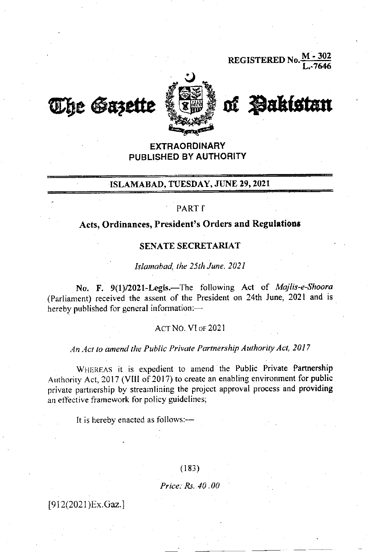REGISTERED No





## **EXTRAORDINARY** PUBLISHED BY AUTHORITY

## ISLAMABAD, TUESDAY, JUNE 29,2021

### PART I<sup>t</sup>

# Acts, Ordinances, President's Orders and Regulations

### SENATE SECRETARIAT

Islamabad, the 25th June, 2021

No. F. 9(1)/2021-Legis.-The following Act of Majlis-e-Shoora (Parliament) received the assent of the President on 24th June, 2021 and is hereby published for general information:-

#### Acr No. VI oF 202l

## An Act to amend the Public Private Partnership Authority Act, 2017

WHEREAS it is expedient to amend the Public Private Partnership Authority Act, 2017 (VIII of 2017) to create an enabling environment for public private partnership by streamlining the project approval process and providing an effective framework for policy guidelines;

It is hereby enacted as follows: $-$ 

 $(183)$ 

Price; Rs. 40 .00

[912(2021)Ex.Gaz.]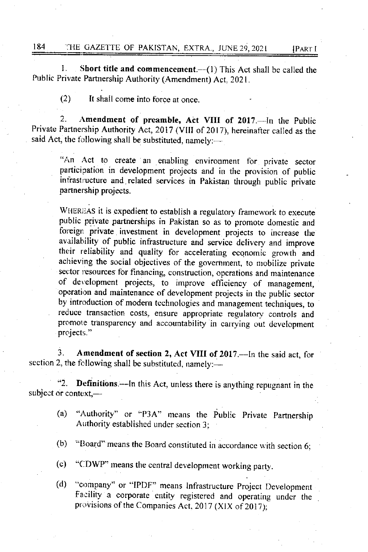1. Short title and commencement.--(1) This Act shall be called the Public Private Partnership Authority (Amendment) Act. 2021.

(2) It shall come into forcc at once.

2. Amendment of preamble, Act VIII of 2017.-- In the Public Private Partnership Authority Act,2017 (VIII of 2017), hereinafter called as the said Act, the following shall be substituted, namely: $-$ 

"An Act to create an enabling environment for private sector participation in development projects and in the provision of public infrastructure and related services in Pakistan through public private partnership projects.

WHEREAS it is expedient to establish a regulatory framework to execute public private partnerships in Pakistan so as to promote domestic and foreign private investment in development projects to increase the availability of public infrastructure and service delivery and improve their reliability and quality for accelerating economic growth and achieving the social objectives of the government, to mobilize private sector resources for financing, construction, operations and maintenance of development projects, to improve efficiency of management, operation and maintenance of development projects in the public sector by introduction of modern technologies and management techniques, to reduce transaction costs, ensure appropriate regulatory controls and promote transparency and accountability in carrying out development projects."

3. Amendment of section 2, Act VIII of 2017.—In the said act, for section 2, the following shall be substituted, namely: $-$ 

"2. Definitions.—In this Act, unless there is anything repugnant in the subject or context,— $-$ 

- (a) "Authority" or "P3A" means the public Private Partnership Authority establishcd under section 3;
- (b) "Board" means the Board constituted in accordance with section 6:
- (c) "CDWP" means the central development working party.
- (d) "company" or "IPDF" means Infrastructure Project Development Facility a corporate entity registered and operating under the provisions of the Companies Act, 2017 (XIX of 2017):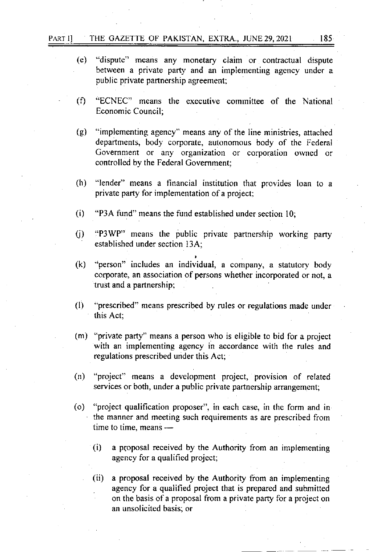- (e) "dispute" means any monetary claim or contractual dispute between a private pary and an implementing agency under a public private partnership agreement;
- (f) "ECNEC" means the executive committee of the National Economic Council;
- (g) "implementing agency" means any of the line ministries, attached departments, body corporate, autonomous body of the Fcderal Government or any organization or corporation owned or controlled by the Federal Government;
- (h) "lender" means a financial institution that provides loan to a private party for implementation of a project;
- (i) "P3A fund" means the fund established under section  $10$ ;
- () "P3WP" means the public private partnership working parry established under scction I3A:
- (k) "person" includes an individual, a company, a statutory body corporate, an association of persons whether incorporated or not, <sup>a</sup> trust and a partnership;
- (l) "prescribed" means prescribed by rules or regulations made under this Act:
- (m) "private party" means a person who is eligible to bid for a project with an implementing agency in accordance with the rules and regulations prescribed under this Act;
- (n) "project" means a development project, provision of related services or both, under a public private partnership arrangement;
- (o) "project qualification proposer", in each case, in the form and in the manner and meeting such requirements as are prescribed from time to time, means -
	- (i) a proposal received by the Authority from an implementing agency for a qualified project;
	- (ii) a proposal received by the Authority from an implementing . agency for a qualified project that is prepared and submitted on the basis of a proposal from a private party for a project on an unsolicited basis; or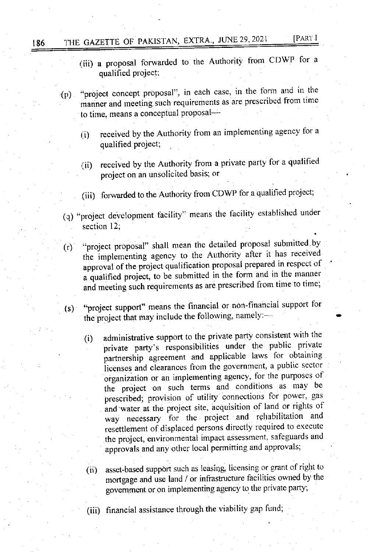# 186 THE GAZETTE OF PAKISTAN, EXTRA., JUNE 29, 2021 [PART I

- (iii) a proposal forwarded to the Authority from CDWP for <sup>a</sup> qualified project;
- (p) "project concept proposal". in each case, in the fonn.and in the manner and meeting such requirements as are prescribed from time to time, means a conceptual proposal-
	- (i) received by the Authority from an implementing agency for a qualified project;
	- (ii) received by the Authority from a private party for a qualified project on an unsolicited basis; or
	- (iii) forwarded to the Authority from CDWP for a qualified project;
- (q) "project development facility" means the facility established under section 12;
- (r) "project proposal" shall mean the detailed proposal submitted by the implementing agency to the Authority after it has received approval of the project qualification proposal prepared in respect of a qualified project, to be submitted in the form and in the manner and meeting such requirements as are prescribed from time to time;
- (s) "project support" means the financial or non-financial support for the project that may include the following, namely:-
	- (i) administrative support to the private party consistent with the private party's responsibilities under the public private partnership agreement and applicable laws for obtaining licenses and clearances from the government, a public sector organization or an implementing agency, for the purposes of the project on such terms and conditions as may be prescribed; provision of utility connections for power, gas and water at the project site, acquisition of land or rights of and water at the project site, acquisition of land or rights of way necessary for the project and rehabilitation and resettlement of displaced persons directly required to execute the project, environmental impact assessment, safeguards and approvals and any other local permitting and approvals;
	- (ii) asset-based support such as leasing, licensing or grant of right to mortgage and use land / or infrastructure facilities owned by the govemment or on implementing agency to the private party;
	- (iii) financial assistanee through the viability gap fund;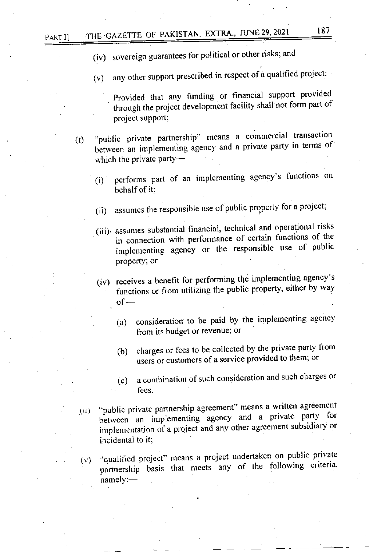- (iv) sovereign guarantees for political or other risks; and
- (v) any other support prescribed in respect of a qualified project:

Provided that any funding or financial support provided through the project development facility shall not form part of project support;

- (t) "public private partnership" means a commercial transaction between an implementing agency and a private party in terms of which the private party- $-$ 
	- (i) performs part of an implementing agency's functions on behalf of it;
	- (ii) assumes the responsible use of public property for a project;
	- (iii). assumes substantial financial, technical and operational risks  $\frac{1}{2}$  in connection with performance of certain functions of the<br>innlementing agency or the responsible use of public implementing agency or the responsible use of public property; or
	- (iv) receives a benefit for performing.the implementing agency's functions or from utilizing the public property, either by way ,  $of-$ 
		- (a) consideration to be paid by the implementing agency from its budget or revenue; or
		- (b) charges or fees to be collected by the private party from users or customers of a seryice provided to them: or
		- (c) a combination of such consideration and such charges or . fees
	- "public private partnership agreement" means a written agreement public private partifership agreement means a matter of the<br>between an implementing agency and a private party for<br>implementation of a project and any other agreement subsidiary or implementation of a project and any other agreement subsidiary or  $(u)$ incidental to it;
	- $(v)$ "qualified project" means a project undertaken^on public private partnership basis that meets any of the following criteria,  $namely:$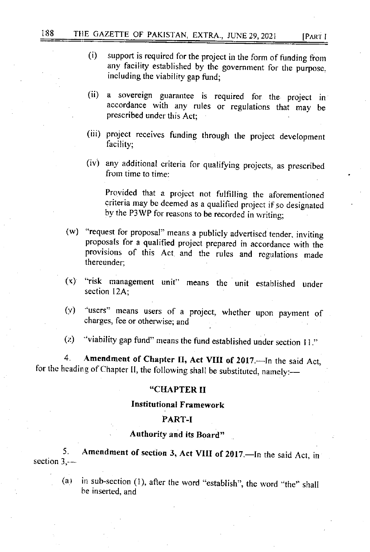- (i) support is required for the project in the form of funding from any facility established by the government for the purpose. including the viability gap fund;
- (ii) a sovereign guarantee is required for the project in accordance with any rules or regulations thai mav be prescribed under this Act;
- (iii) project receives funding through the project development facility;
- $(iv)$  any additional criteria for qualifying projects, as prescribed from time to time:

Provided that a projcct not fulfilling thc aforementioned criteria may be deemed as a qualified project if so designated by the P3WP for reasons to be recorded in writing;

- (w) "request for proposal" means a publicly advertised tender. inviting proposals for a qualified project prepared in accordance with the provisions of this Act and the rules and rcgulations made thercunder;
- (x) "risk management unit" means the unit established under section 12A:
- (y) 'users" means users of a project, whether upon payment of charges, fee or otherwise; and
- (z) "viability gap fund" means the fund established under section  $11$ ."

4. Amendment of Chapter II, Act VIII of 2017 - In the said Act, for the heading of Chapter II, the following shall be substituted, namely:-

#### "CHAPTER II

### Institutional Framework

### PART-I

## . Authority and its Board,'

5. section  $3, -$ Amendment of section 3, Act VIII of 2017.-In the said Act, in

(a) in sub-section (1), after the word "establish", the word "the" shall be inserted. and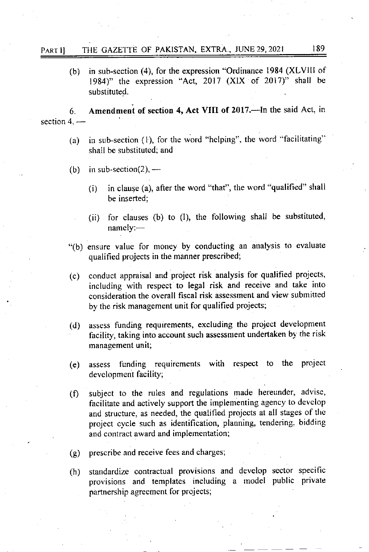(b) in sub-section (4), for the expression "Ordinance 1984 (XLVlll of 1984)" the expression "Act, 2017 (XlX of 2017)" shall be substituted.

6. Amendment of section 4, Act VIII of 2017. In the said Act, in  $section 4, -$ 

- (a) in sub-section  $(1)$ , for the word "helping", the word "facilitating" shall be substituted; and
- (b) in sub-section(2),  $-$ 
	- $(i)$  in clause (a), after the word "that", the word "qualified" shall be inserted;
	- (ii) for clauses (b) to (I), the following shall be substituted, namely:--
- "(b) ensure value for money by conducting an analysis to evaluate qualified projects in the manner prescribed;
- (c) conduct appraisal and project risk analysis for qualified projects, including with respect to legal risk and receive and take into consideration the overall fiscal risk assessment and view submitted by the risk management unit for qualified projects;
- (d) assess funding requiremens, excluding the project developnrent facility, taking into account such assessment undertaken by the risk management unit;
- (e) assess lunding requirements with respect to the project development facility:
- (f) subject to the rules and regulations made hereunder, advise, facilitate and actively support the implementing agency to devclop and structure, as needed, the qualified projects at all stages of the project cycle such as identification, planning, tendering, bidding and contract award and implementation;
- prescribe and receive fees and charges; (e)
- standardize contractual provisions and develop sector specific provisions and templates including a model public private partnership agreement for projects; (h)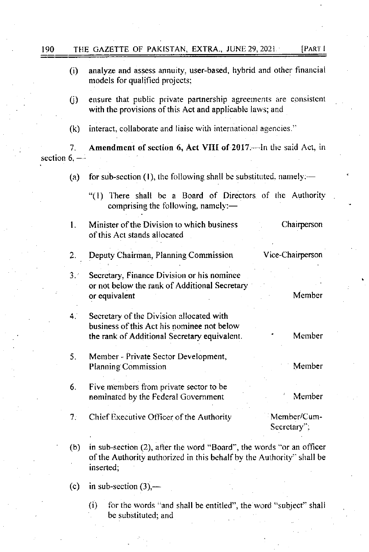| 190             |             | [PART I<br>THE GAZETTE OF PAKISTAN, EXTRA., JUNE 29, 2021.                                                                                                 |
|-----------------|-------------|------------------------------------------------------------------------------------------------------------------------------------------------------------|
|                 | (i)         | analyze and assess annuity, user-based, hybrid and other financial<br>models for qualified projects;                                                       |
|                 | (j)         | ensure that public private partnership agreements are consistent<br>with the provisions of this Act and applicable laws; and                               |
|                 | (k)         | interact, collaborate and liaise with international agencies."                                                                                             |
| section $6, -1$ | 7.          | Amendment of section 6, Act VIII of 2017. In the said Act, in                                                                                              |
|                 | (a)         | for sub-section $(1)$ , the following shall be substituted, namely:—                                                                                       |
|                 |             | "(1) There shall be a Board of Directors of the Authority<br>comprising the following, namely:-                                                            |
|                 | 1.          | Minister of the Division to which business<br>Chairperson<br>of this Act stands allocated                                                                  |
|                 | 2.          | Vice-Chairperson<br>Deputy Chairman, Planning Commission                                                                                                   |
|                 | 3.1         | Secretary, Finance Division or his nominee<br>or not below the rank of Additional Secretary<br>Member<br>or equivalent                                     |
|                 | $4^{\circ}$ | Secretary of the Division allocated with<br>business of this Act his nominee not below<br>Member<br>the rank of Additional Secretary equivalent.           |
|                 | 5.          | Member - Private Sector Development,<br>Member<br>Planning Commission                                                                                      |
|                 | 6.          | Five members from private sector to be<br>Member<br>nominated by the Federal Government                                                                    |
|                 | 7.:         | Chief Executive Officer of the Authority<br>Member/Cum-<br>Secretary";                                                                                     |
|                 | (b)         | in sub-section (2), after the word "Board", the words "or an officer<br>of the Authority authorized in this behalf by the Authority" shall be<br>inserted; |
|                 | (c)         | in sub-section $(3)$ ,—                                                                                                                                    |
|                 |             | for the words "and shall be entitled", the word "subject" shall<br>(i)                                                                                     |

be substituted; and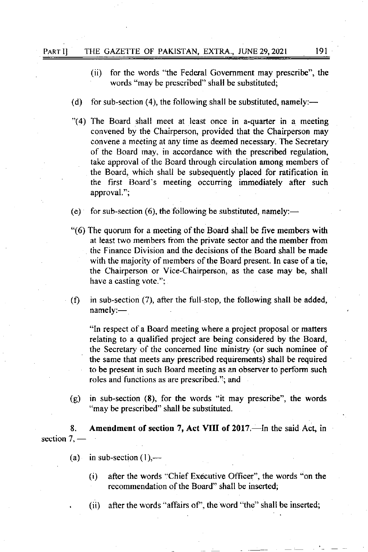- (ii) for the words "the Federal Government may prescribe", the words "may be prescribed" shall be substituted;
- (d) for sub-section (4), the following shall be substituted, namely:—
- "(4) The Board shall meet at least once in a-quarter in a meeting convened by the Chairperson, provided that the Chairperson may convene a meeting at any time as deemed necessary. The Secretary of the Board may, in accordance with the prescribed regulation, take approval of the Board through circulation among members of the Board, which shall be subsequently placed for ratification in the first Board's meeting occurring immediately after such approval.";
- (e) for sub-section (6), the following be substituted, namely:—
- "(6) The quorum for a meeting of the Board shall be five members with at least two members fiom the private sector and the member from the Finance Division and the decisions of the Board shall be made with the majority of members of the Board present. In case of a tie, the Chairperson or Vice-Chairperson, as the case may be, shall have a casting vote.":
- (f) in sub-section  $(7)$ , after the full-stop, the following shall be added, namely:-

"In respect of a Board meeting where a project proposal or matters relating to a qualified project are being considered by the Board, the Secretary of the concerned line ministry (or such nominee of the same that meets any prescribed requirements) shall be required to be present in such Board meeting as an observer to perform such roles and functions as are prescribed."; and

(g) in sub-section (8), for the words "it may prescribe", the words "may be prescribed" shall be substituted.

8. Amendment of section 7, Act VIII of 2017.—In the said Act, in section 7, –

- (a) in sub-section  $(1)$ ,—
	- $(i)$  after the words "Chief Executive Officer", the words "on the recommendation of the Board" shall be inserted;
	- , (ii) after the words "affairs of', the word "the" shall be inserted;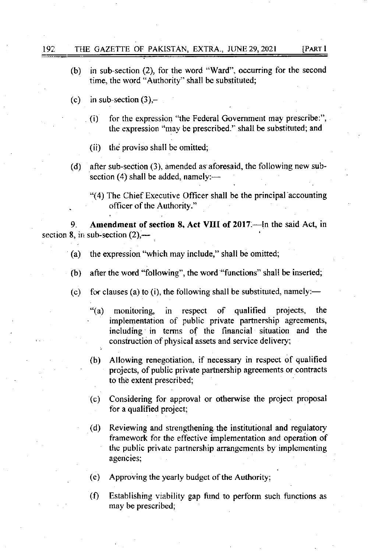- 
- (b) in sub-section (2), for the word "Ward", occurring for the second time, the word "Authority" shall be substituted;
- (c) in sub-section  $(3)$ ,-
	- $(i)$  for the expression "the Federal Government may prescribe:", the expression "may be prescribed." shall be substituted; and
	- (ii) the proviso shall be omitted;
- (d) after sub-section (3), amended as aforesaid, the following new subsection  $(4)$  shall be added, namely:-
	- "(4) The Chief Executive Officer shall be the principal"accounting officer of the Authority."

Amendment of section 8, Act VIII of 2017.-- In the said Act, in section 8, in sub-section  $(2)$ ,—

- (a) the expression "which may include," shall be omitted;
- (b) after the word "following", the word "functions" shall be inserted;
- (c) for clauses (a) to (i), the following shall be substituted, namely:—
	- "(a) monitoring, in respect of qualified projects, the implementation of public private partnership agreements, including in terms of the financial situation and the . construction of physical assets and service delivery;
	- (b) Allowing renegotiation. if necessary in respect of qualified projecs, of public private partnership agreements or contracts . to the extent prescribed;
	- (c) Considering for approval or otherwise the project proposal for a qualified project;
	- (d) Reviewing and strengthening the institutional and regulatory framework for the effective implementation and operation of the public private partnership arrangements by implementing agencies;
	- $(e)$  Approving the yearly budget of the Authority:
	- $(f)$  Establishing viability gap fund to perform such functions as may be prescribed;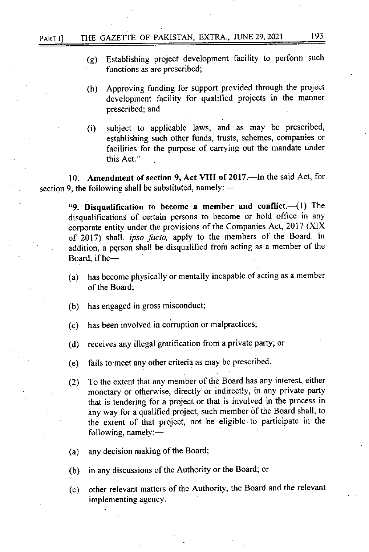- (g) Establishing project development facility to perform such functions as are prescribed;
- (h) Approving funding for support provided through the project development facility for qualified projects in the manner prescribed: and
- (i) subject to applicable laws, and as may be prescribed, establishing such other firnds, trusts, schemes, companies or facilities for the purpose of carrying out the mandate under this Act."

10. Amendment of section 9, Act VIII of 2017. In the said Act, for section 9, the following shall be substituted, namely: -

"9. Disqualification to become a member and conflict. $-(1)$  The disqualifications of certain persons to become or hold office in any corporate entity under the provisions of the Companies Act, 2017 (XlX of 2017) shall, ipso facto, apply to the members of the Board. In addition, a person shall be disqualified from acting as a member of the Board, if he-

- (a) has become physically or mentatly incapable of acting as a member of the Board;
- (b) has engaged in gross misconduct;
- (c) has been involved in corruption or malpractices;
- (d) receives any illegal gratification from a private party; or
- (e) fails to meet any other criteria as may be prescribed.
- (2) To the extent that any member of the Board has any interest, either monetary or otherwise, directly or indirectly, in any private party that is tendering for a project or that is involved in the process in any way for a qualified project, such member of the Board shall, to the extent of that project, not be eligible to participate in the following, namely:-
- any decision making of the Board; (a)
- in any discussions of the Authority or the Board; or (b)
- other relevant matters of the Authority, the Board and the relevant implementing agency. (c)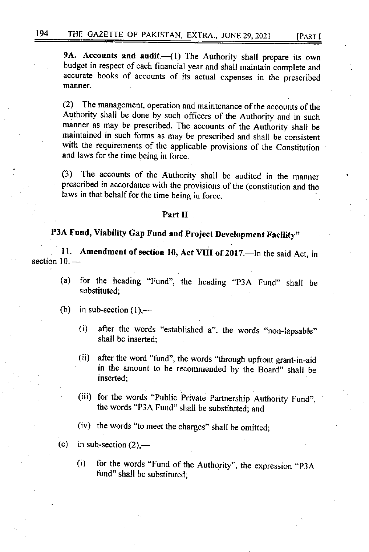9A. Accounts and audit.-(1) The Authority shall prepare its own budget in respect of each financial year and shall maintain complete and accurate books of accounts of its actual expenses in the prescribed manner.

(2) The management, operation and maintenance of the accounts of the Authority shall be done by such officers of the Authority and in such manner as may be prescribed. The accounts of the Authority shall be maintained in such forms as may be prescribed and shall be consistent with the requirements of the applicable provisions of the Constitution and laws for the time being in force.

(3) The accounts of the Authority shall be audited in the manner prescribed in accordance with the provisions of the (constitution and the laws in that behalf for the time being in force.

#### part II

# P3A Fund, Viability Gap Fund and Project Development Facility"

11. Amendment of section 10, Act VIII of 2017.-In the said Act, in section 10. -

- (a) for the heading "Fund", the heading "P3A Fund" shall be substituted;
- (b) in sub-section  $(1)$ ,---
	- (i) after the words "established  $a$ ", the words "non-lapsable" shall be inserted;
	- (ii) after the word "fund", the words "through upfront grant-in-aid in the amount to be recommended by the Board" shall be inserted;
	- (iii) for the words "Public Private Partnership Authority Fund", the words "P3A Fund" shall be substituted; and
	- (iv) the words "to meet the charges" shall be omitted;
- (c) in sub-section  $(2)$ ,—
	- (i) for the words "Fund of the Authority", the expression "P3A fund" shall be substituted;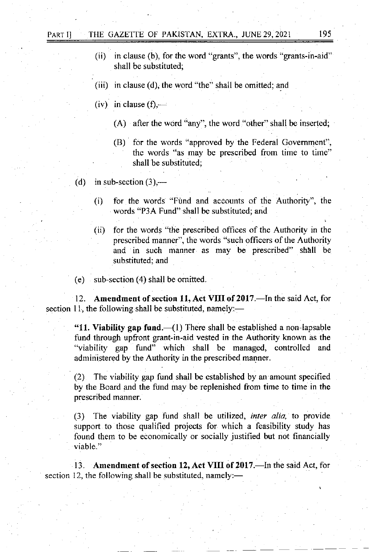- (ii) in clause (b), for the word "grants", the words "grants-in-aid" shall be substituted;
- (iii) in clause (d), the word "the" shall be omitted; and
- (iv) in clause  $(f)$ ,—
	- (A) after the word "any", the word "other" shall be inserted;
	- (B) for the words "approved by the Federal Govemmenf', the words "as may be prescribed from time to time" shall be substituted;
- (d) in sub-section  $(3)$ ,—
	- (i) for the words "Fund and accounts of the Authority", the words "P3A Fund" shall be substituted; and
	- (ii) for the words "the prescribed offices of the Authority in the prescribed manner", the words "such officers of the Authority and in such manner as may be prescribed" shall be substituted; and

(e) sub-section (4) shall be omitted.

12. Amendment of section 11, Act VIII of 2017. - In the said Act, for section 11, the following shall be substituted, namely:—

"11. Viability gap fund. $\left(\frac{1}{1}\right)$  There shall be established a non-lapsable fund through upfront grant-in-aid vested in the Authority known as the "viability gap fund" which shall be managed, controlled and administered by the Authority in the prescribed manner.

(2) The viability gap fund shall be established by an amount specified by the Board and the fund may be replenished from time to time in the prescribed manner.

(3) The viability gap fund shall be utilized, inter alia, to provide support to those qualified projects for which a feasibility study has found them to be economically or socially justified but not financially <sup>v</sup>iable."

13. Amendment of section 12, Act VIII of 2017.—In the said Act, for section 12, the following shall be substituted, namely: $-$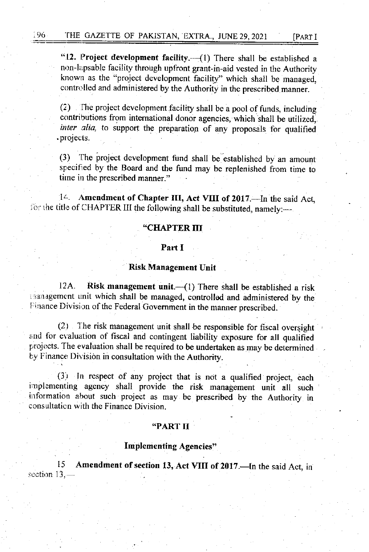"12. Project development facility. $-(1)$  There shall be established a non-lapsable facility through upfront grant-in-aid vested in the Authority known as the "project development facility" which shall be managed, controlled and administered by the Authority in the prescribed manner.

 $(2)$  The project development facility shall be a pool of funds, including contributions from international donor agencies, which shall be utilized, inter alia, to support the preparation of any proposals for qualified . pl oj ects.

(3) The project development fund shall be established by an amount specified by the Board and the fund may be replenished from time to time in the prescribed manner."

14. Amendment of Chapter III, Act VIII of 2017.—In the said Act, for the title of CHAPTER III the following shall be substituted, namely:-

### "CHAPTER III

### Part I

### Risk Management Unit

12A. Risk management unit. $-(1)$  There shall be established a risk than, ran, a denote the shall be managed, controllod and administered by the Finance Division of the Federal Government in the manner prescribed.

 $(2)$  The risk management unit shall be responsible for fiscal oversight and for evaluation of fiscal and contingent tiability exposure for all qualified projects. The evaluation shall be required to be undertaken as may be determined by Finance Division in consultation with the Authority.

(3) In respect of any project that is not a qualified project, each implementing agency shall provide the risk management unit all such information about such project as may be prescribed by the Authority in consultation with the Finance Division.

#### "PART II

### Implementing Agencies"

l5 section  $13, -$ Amendment of section 13, Act VIII of 2017.-In the said Act, in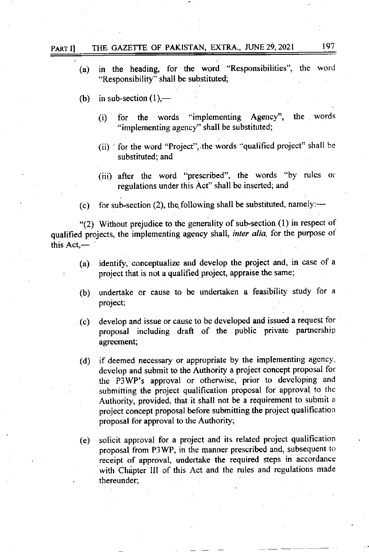|              | "Responsibility" shall be substituted;                                                                                                                         |
|--------------|----------------------------------------------------------------------------------------------------------------------------------------------------------------|
|              | (b) in sub-section $(1)$ ,—                                                                                                                                    |
|              | for the words "implementing Agency", the words<br>(i)<br>"implementing agency" shall be substituted;                                                           |
|              | (ii) ' for the word "Project", the words "qualified project" shall be<br>substituted; and                                                                      |
|              | (iii) after the word "prescribed", the words "by rules or<br>regulations under this Act" shall be inserted; and                                                |
| (c)          | for sub-section (2), the following shall be substituted, namely: $-$                                                                                           |
| this $Act$ — | "(2) Without prejudice to the generality of sub-section (1) in respect of<br>qualified projects, the implementing agency shall, inter alia, for the purpose of |
|              | (a) identify, conceptualize and develop the project and, in case of a<br>project that is not a qualified project, appraise the same;                           |

(a) in the heading, for the word "Responsibilities", the word

- (b) undertake or cause to be undertaken a feasibility study for <sup>a</sup> project;
- (c) develop and issue or cause to be developed and issued a request for proposal including draft of the public private partnership agreement;
- (d) if deemed necessary or appropriate by the implementing agency, develop and submit to the Authority a project concept proposal for the P3WP's approval or othenvise, prior to developing and submitting the project qualification proposal for approval to the Authority, provided, that it shall not be a requirement to submit a project concept proposal before submitting the project qualification proposal for approval to the Authority;
- (e) solicit approval for a project and its related project qualification proposal from P3W?, in the manner prescribed and, subsequent to receipt of approval, undertake the required steps in accordance with Chapter III of this Act and the rules and regulations made thereunder;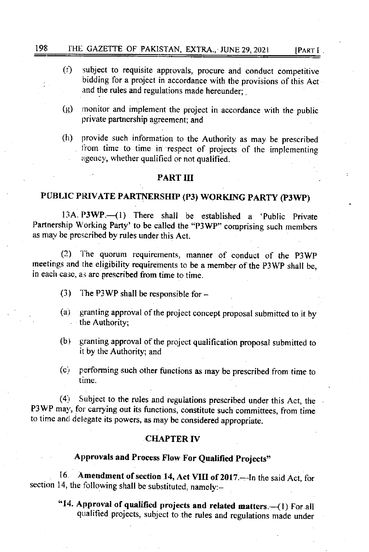- $(f)$  subject to requisite approvals, procure and conduct competitive bidding for a project in accordance with the provisions of this Act and the rules and regulations made hereunder;
- $(g)$  monitor and implement the project in accordance with the public private partnership agreement; and
- (h) provide such information ro the Authority as may be prescribed from time to time in respect of projects of the implementing ageucv, whether qualified or not qualified.

### PART III

# PUBLIC PRIVATE PARTNERSHIP (P3) WORKING PARTY (P3WP)

13A. P3WP. $-(1)$  There shall be established a 'Public Private Partnership Working Party' to be called the "P3WP" comprising such members as may be prescribed by rules under this Act.

(2) The quorum requirements, manner of conduct of the P3WP meetings and the eligibility requirements to be a member of the P3 WP shall be, in each case, as are prescribed from time to time.

- (3) The P3WP shall be responsible for  $-$
- $(a)$  granting approval of the project concept proposal submitted to it by the Authority;
- (b) granting approval of the project qualification proposal submitted to it by the Authority; and
- $(c)$  performing such other functions as may be prescribed from time to time.

(4) Subject to the rules and regulations prescribed under this Acr, the P3WP may, for carrying out its functions, constitute such committees, from time to time and delegate its powers, as may be considered appropriate.

### **CHAPTER IV**

# Approvals and Process Flow For Qualified Projects"

16. Amendment of section 14, Act VIII of 2017 - In the said Act, for section 14, the following shall be substituted, namely:-

"14. Approval of qualified projects and related matters. $-(1)$  For all qualified projects, subject to the rules and regulations made under

**IPART I**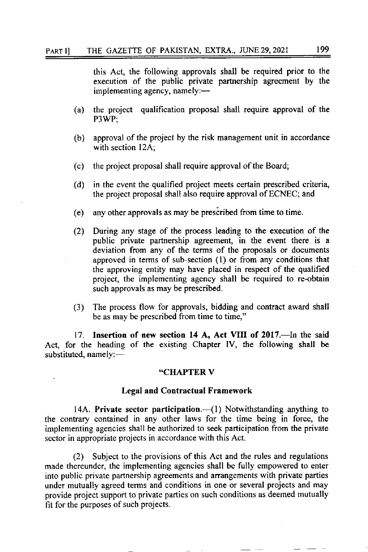this Act, the following approvals shall be required prior to the execution of the public private partnership agreement by the implementing agency, namely: $\leftarrow$ 

- (a) the project qualification proposal shall require approval of the P3WP;
- (b) approval of the project by the risk management unit in accordance with section 12A;
- the project proposal shall require approval of the Board; (c)
- in the event the qualified project meets certain prescribed criteria, the project proposaI shall also require approval of ECNEC; and (d)
- $(e)$  any other approvals as may be prescribed from time to time.
- (2) During any stage of the process leading to the execution of the public private partnership agreement, in the event there is <sup>a</sup> deviation from any of the terms of the proposals or documents approved in terms of sub-section (l) or from any conditions that the approving entity may have placed in respect of the qualified project, the implementing agency shall be required to re-obtain such approvals as may be prescribed.
- (3) The process flow for approvals, bidding and contract award shall be as may be prescribed from time to time,"

17. Insertion of new section 14 A, Act VIII of 2017.—In the said Act, for the heading of the existing Chapter IV, the following shall be substituted, namely:-

#### .CIIAPTER V

### Legal and Contractual Framework

14A. Private sector participation.— $(1)$  Notwithstanding anything to the contrary contained in any other laws for the time being in force, the implementing agencies shall be authorized to seek participation from the private sector in appropriate projects in accordance with this Act.

(2) Subject to the provisions of this Act and the rules and regulations made thereunder, the implementing agencies shall be fully empowered to enter into public private partnership agreements and arrangements with private parties under mutually agreed terms and conditions in one or several projects and may provide project support to private parties on such conditions as deemed mutually fit for the purposes of such projects.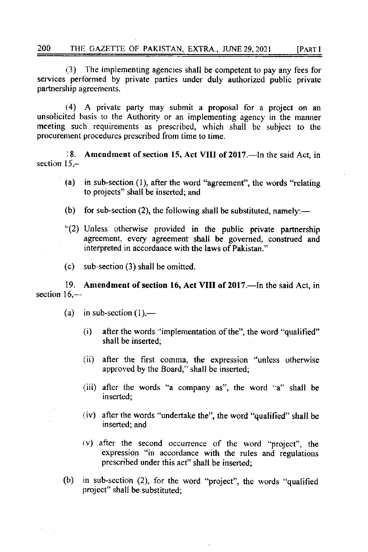(3) The implementing agencies shall be competent to pay any fees for services performed by private parties under duly authorized public private partnership agreements.

(4) A private party may submit a proposal for a project on an unsolicited basis to the Authority or an implementing agency in the manner meeting such requirements as prescribed, which shall be subject to the procurenlent procedures prescribed from time to time.

18. Amendment of section 15, Act VIII of 2017.—In the said Act, in section 15 -

- (a) in sub-section (l), after the word "agreement", the words "relating to projects" shall be inserted; and
- (b) for sub-section (2), the following shall be substituted, namely:—
- "(2) Unless otherwise provided in the public private partnership agreement, every agreement shall be governed, construed and interpreted in accordance with the laws of Pakistan."
- (c) sub-section (3) shall be omitted

19. Amendment of section 16, Act VIII of 2017.—In the said Act, in section 16,--

- (a) in sub-section  $(1)$ ,—
	- (i) afier the words 'implementation of the", the word "qualified" shall be inserted;
	- (ii) after the first comma, the expression "unless othenvise approved by the Board," shall be inserted;
	- (iii) after the words "a company as", the word "a" shall be inserted;
	- (iv) after the words "undertake the", the word "qualified" shall be inserted; and
	- $(v)$  after the second occurrence of the word "project", the expression "in accordance with the rules and regulations prescribed under this act" shall be inserted;
- (b) in sub-section  $(2)$ , for the word "project", the words "qualified project" shall be substituted;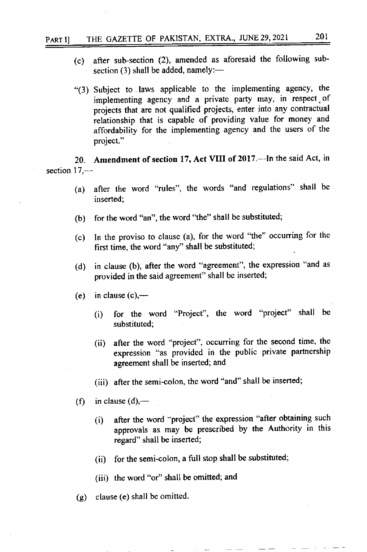- (c) after sub-section (2), amended as aforesaid the following subsection  $(3)$  shall be added, namely:-
- "(3) Subject to.laws applicable to the implementing agency, the implementing agency and a private party may, in respect.of projects that are not qualified projects, enter into any contractual relationship that is capable of providing value for money and affordability for the implementing agency and the users of the project."

20. Amendment of section 17, Act VIII of 2017.—In the said Act, in section  $17,$ —

- (a) after the word "rules", the words "and regulations" shall be inserted;
- (b) for the word "an", the word "the" shall be substituted;
- (c) In the proviso to clause (a), for the word "the" occurring for the first time, the word "any" shall be substituted;
- (d) in clause (b), after the word "agreement", the expression "and as provided in the said agreement" shall be inserted;
- (e) in clause  $(c)$ ,—
	- (i) for the word "Projecf', the word "project" shall be substituted;
	- (ii) after the word "project", occurring for the second time, the expression "as provided in the public private partnership agreement shall be inserted; and
	- (iii) after the semi-colon, the word "and" shall be inserted;
- (f) in clause  $(d)$ ,—
	- $(i)$  after the word "project" the expression "after obtaining such approvals as may be prescribed by the Authority in this regard" shall be inserted;
	- $(ii)$  for the semi-colon, a full stop shall be substituted;
	- (iii) the word "or" shall be omitted; and
- (g) clause (e) shall be omitted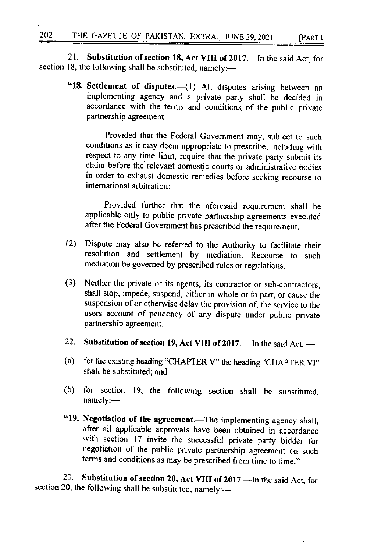21. Substitution of section 18, Act VIII of 2017.—In the said Act, for section 18, the following shall be substituted, namely:-

"18. Settlement of disputes.-(1) All disputes arising between an implementing agency and a private party shall be decided in accordance with the terms and conditions of the public private partnership agreement:

Provided that the Federal Government may, subject to such conditions as it'may deem appropriate to prescribe, including with respect to any time limit. require that the private party submit its claim before the relevant domestic courts or administrative bodies in order to exhaust domestic remedies before seeking recourse to intemational arbitration:

Provided further that the aforesaid requirement shall be applicable only to public private partnership agreements executed after the Federal Govemment has prescribed the requirement.

- (2) Dispute may also be referred to the Authority to facilitate their resolution and settlement by mediation. Recourse to such mediation be governed by prescribed rules or regulations.
- (3) Neither the private or its agents, its contractor or sub-contractors, shall stop, impede, suspend, either in whole or in part, or cause the suspension of or otherwise delay the provision of, the service to the users account of pendency of any dispute under public private partnership agreement.
- 22. Substitution of section 19, Act VIII of  $2017$ . In the said Act, -
- (a) for the existing heading "CHAPTER V" the heading "CHAPTER VI" shall be substituted; and
- (b) for section 19, the following section shall be substituted,  $namely:$
- "19. Negotiation of the agreement.—The implementing agency shall, after all applicable approvals have been obtained in accordance with section 17 invite the successful private party bidder for negotiation of the public private pannership agreement on such terms and conditions as may be prescribed from time to time."

23. Substitution of section 20, Act VIII of 2017.—In the said Act, for section 20, the following shall be substituted, namely:-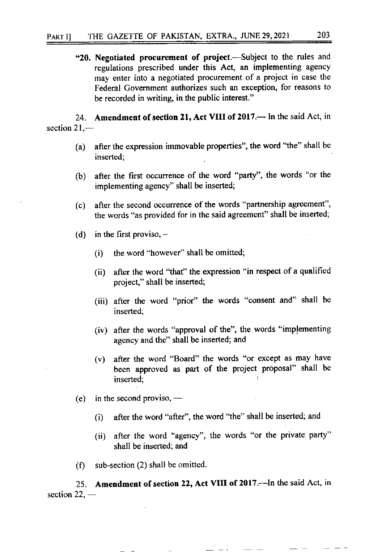"20. Negotiated procurement of project.-Subject to the rules and regulations prescribed under this Act, an implementing agency may enter into a negotiated procurement of a project in case the Federal Government authorizes such an exception, for reasons to be recorded in writing, in the public interest."

24. Amendment of section 21, Act VIII of 2017.— In the said Act, in section 21,-

- (a) after the expression immovable properties", the word "the" shall be inserted:
- (b) after the first occurrence of the word "party", the words "or the implementing agency" shall be inserted;
- (c) after the second occurence of the words "partnership agreement", the words "as provided for in the said agreement" shall be inserted;
- (d) in the first proviso,  $-$ 
	- (i) the word "however" shall be omitted;
	- (ii) after the word "that" the expression "in respect of a qualified project," shall be inserted;
	- (iii) after the word "prior" the words "consent and" shall be inserted;
	- (iv) after the words "approval of the", the words "implementing agency and the" shall be inserted; and
	- (v) after the word "Board" the words "or except as may have been approved as part of the project proposal" shall be inserted;
- (e) in the second proviso,  $-$ 
	- $(i)$  after the word "after", the word "the" shall be inserted; and
	- (ii) after the word "agency", the words "or the private party" shall be inserted; and
- $(f)$  sub-section (2) shall be omitted.

25. Amendment of section 22, Act VIII of 2017.—In the said Act, in section 22, –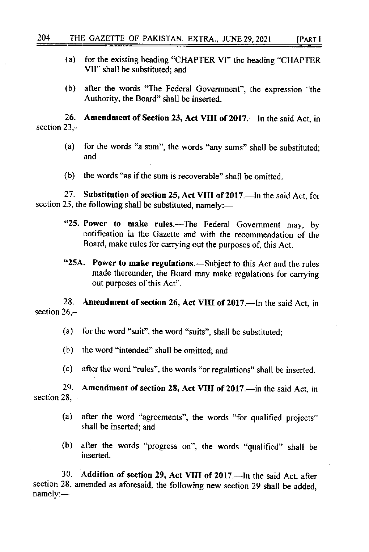- (a) for the existing heading "CHAPTER VI" the heading "CHAPTER VIl" shall be substituted; and
- (b) after the words "The Federal Govemment", the expression 'the Authority, the Board" shall be inserted.

26. Amendment of Section 23, Act VIII of 2017. In the said Act, in section  $23$  —

- (a) for the words "a sum", the words "any sums" shall be substituted; and
- $(b)$  the words "as if the sum is recoverable" shall be omitted.

27. Substitution of section 25, Act VIII of 2017.—In the said Act, for section 25, the following shall be substituted, namely:-

- "25. Power to make rules.—The Federal Government may, by notification in the Gazette and with the recommendation of the Board. make rules for carrying out the purposes of, this Act.
- "25A. Power to make regulations.—Subject to this Act and the rules made thereunder, the Board may make regulations for carrying out purposes of this Act".

28. section  $26$ ,-Amendment of section 26, Act VIII of 2017.--- In the said Act, in

(a) for the word "suit", the word "suits", shall be substituted;

- (b) the word "intended" shall be omitted; and
- (c) after the word "rules", the words "or rcgulations" shall be inserted.

**29.** section  $28-$ Amendment of section 28, Act VIII of 2017. - in the said Act, in

- (a) after the word "agreements", the words "for qualified projects" shall be inserted; and
- (b) after the words "progress on", the words "qualified" shall be irrserted.

30. Addition of section 29, Act VIII of 2017.-- In the said Act, after section 28. amended as aforesaid, the following new section 29 shall be added, namely:-